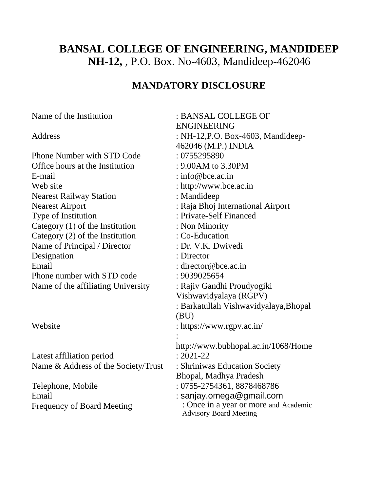# **BANSAL COLLEGE OF ENGINEERING, MANDIDEEP NH-12,** , P.O. Box. No-4603, Mandideep-462046

## **MANDATORY DISCLOSURE**

Name of the Institution : BANSAL COLLEGE OF ENGINEERING Address : NH-12, P.O. Box-4603, Mandideep-462046 (M.P.) INDIA Phone Number with STD Code : 0755295890 Office hours at the Institution : 9.00AM to 3.30PM E-mail : info@bce.ac.in Web site : http://www.bce.ac.in Nearest Railway Station : Mandideep Nearest Airport : Raja Bhoj International Airport Type of Institution : Private-Self Financed Category (1) of the Institution : Non Minority Category (2) of the Institution : Co-Education Name of Principal / Director : Dr. V.K. Dwivedi Designation : Director Email : director@bce.ac.in Phone number with STD code : 9039025654 Name of the affiliating University : Rajiv Gandhi Proudyogiki Vishwavidyalaya (RGPV) : Barkatullah Vishwavidyalaya,Bhopal (BU) Website : https://www.rgpv.ac.in/ : http://www.bubhopal.ac.in/1068/Home Latest affiliation period : 2021-22 Name & Address of the Society/Trust : Shriniwas Education Society Bhopal, Madhya Pradesh Telephone, Mobile : 0755-2754361, 8878468786 Email : sanjay.omega@gmail.com Frequency of Board Meeting : Once in a year or more and Academic

Advisory Board Meeting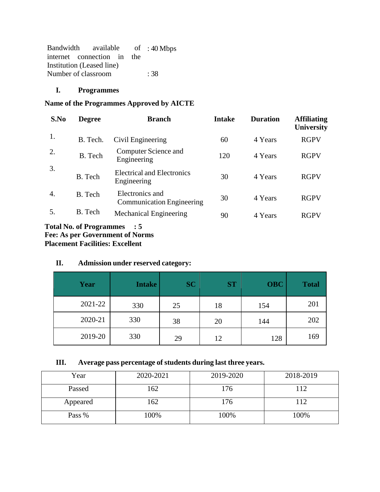| Bandwidth available of :40 Mbps |  |  |      |
|---------------------------------|--|--|------|
| internet connection in the      |  |  |      |
| Institution (Leased line)       |  |  |      |
| Number of classroom             |  |  | : 38 |

## **I. Programmes**

#### **Name of the Programmes Approved by AICTE**

| S.No | <b>Degree</b>                                                                    | <b>Branch</b>                                       | <b>Intake</b> | <b>Duration</b> | <b>Affiliating</b><br><b>University</b> |
|------|----------------------------------------------------------------------------------|-----------------------------------------------------|---------------|-----------------|-----------------------------------------|
| 1.   | B. Tech.                                                                         | Civil Engineering                                   | 60            | 4 Years         | <b>RGPV</b>                             |
| 2.   | B. Tech                                                                          | Computer Science and<br>Engineering                 | 120           | 4 Years         | <b>RGPV</b>                             |
| 3.   | B. Tech                                                                          | <b>Electrical and Electronics</b><br>Engineering    | 30            | 4 Years         | <b>RGPV</b>                             |
| 4.   | B. Tech                                                                          | Electronics and<br><b>Communication Engineering</b> | 30            | 4 Years         | <b>RGPV</b>                             |
| 5.   | B. Tech                                                                          | <b>Mechanical Engineering</b>                       | 90            | 4 Years         | <b>RGPV</b>                             |
|      | <b>Total No. of Programmes</b><br>$\mathbf{E}$ and $\mathbf{E}$ and $\mathbf{E}$ | $\therefore$ 5                                      |               |                 |                                         |

**Fee: As per Government of Norms Placement Facilities: Excellent**

## **II. Admission under reserved category:**

| Year    | <b>Intake</b> | <b>SC</b> | <b>ST</b> | <b>OBC</b> | <b>Total</b> |
|---------|---------------|-----------|-----------|------------|--------------|
| 2021-22 | 330           | 25        | 18        | 154        | 201          |
| 2020-21 | 330           | 38        | 20        | 144        | 202          |
| 2019-20 | 330           | 29        | 12        | 128        | 169          |

#### **III. Average pass percentage of students during last three years.**

| Year     | 2020-2021 | 2019-2020 | 2018-2019 |
|----------|-----------|-----------|-----------|
| Passed   | 162       | 176       | 112       |
| Appeared | 162       | 176       | 112       |
| Pass %   | 100%      | 100%      | 100%      |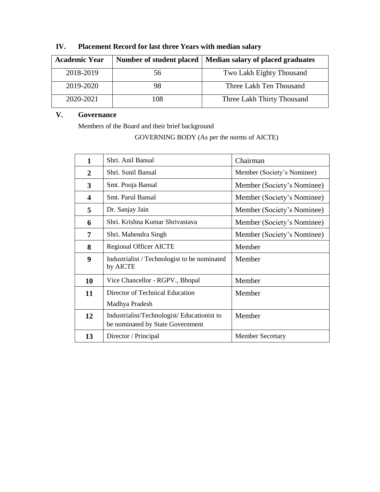| <b>Academic Year</b> | Number of student placed | Median salary of placed graduates |
|----------------------|--------------------------|-----------------------------------|
| 2018-2019            | 56                       | Two Lakh Eighty Thousand          |
| 2019-2020            | 98                       | Three Lakh Ten Thousand           |
| 2020-2021            | 108                      | Three Lakh Thirty Thousand        |

# **IV. Placement Record for last three Years with median salary**

## **V. Governance**

Members of the Board and their brief background

GOVERNING BODY (As per the norms of AICTE)

| $\mathbf{1}$            | Shri. Anil Bansal                                                              | Chairman                   |
|-------------------------|--------------------------------------------------------------------------------|----------------------------|
| 2                       | Shri. Sunil Bansal                                                             | Member (Society's Nominee) |
| 3                       | Smt. Pooja Bansal                                                              | Member (Society's Nominee) |
| $\overline{\mathbf{4}}$ | Smt. Parul Bansal                                                              | Member (Society's Nominee) |
| 5                       | Dr. Sanjay Jain                                                                | Member (Society's Nominee) |
| 6                       | Shri. Krishna Kumar Shrivastava                                                | Member (Society's Nominee) |
| 7                       | Shri. Mahendra Singh                                                           | Member (Society's Nominee) |
| 8                       | <b>Regional Officer AICTE</b>                                                  | Member                     |
| 9                       | Industrialist / Technologist to be nominated<br>by AICTE                       | Member                     |
| 10                      | Vice Chancellor - RGPV., Bhopal                                                | Member                     |
| 11                      | Director of Technical Education                                                | Member                     |
|                         | Madhya Pradesh                                                                 |                            |
| 12                      | Industrialist/Technologist/Educationist to<br>be nominated by State Government | Member                     |
| 13                      | Director / Principal                                                           | <b>Member Secretary</b>    |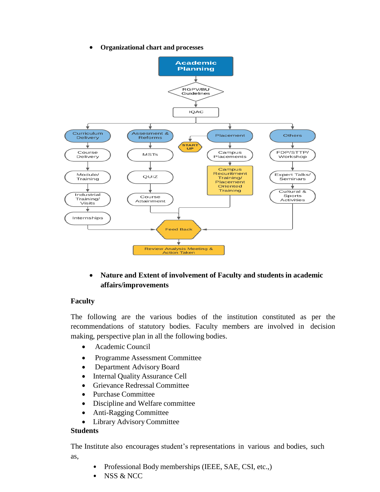**Organizational chart and processes**



## **Nature and Extent of involvement of Faculty and students in academic affairs/improvements**

#### **Faculty**

The following are the various bodies of the institution constituted as per the recommendations of statutory bodies. Faculty members are involved in decision making, perspective plan in all the following bodies.

- Academic Council
- Programme Assessment Committee
- Department Advisory Board
- Internal Quality Assurance Cell
- Grievance Redressal Committee
- Purchase Committee
- Discipline and Welfare committee
- Anti-Ragging Committee
- Library Advisory Committee

#### **Students**

The Institute also encourages student's representations in various and bodies, such as,

- Professional Body memberships (IEEE, SAE, CSI, etc.,)
- NSS & NCC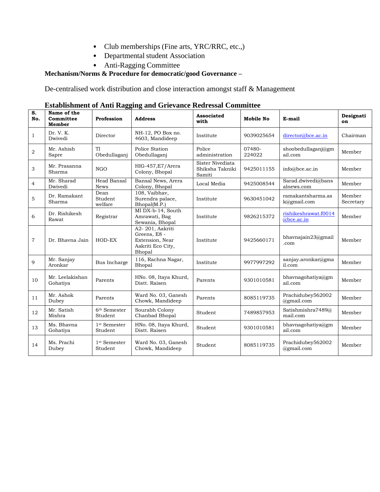- Club memberships (Fine arts, YRC/RRC, etc.,)
- Departmental student Association
- Anti-Ragging Committee

## **Mechanism/Norms & Procedure for democratic/good Governance –**

De-centralised work distribution and close interaction amongst staff & Management

| S.<br>No.      | Name of the<br>Committee<br>Member | ADHDHHICHCOL THILL ISS<br>Profession | mg unu orletance reuressar commun<br><b>Address</b>                               | <b>Associated</b><br>with                     | Mobile No        | E-mail                                | Designati<br>on     |
|----------------|------------------------------------|--------------------------------------|-----------------------------------------------------------------------------------|-----------------------------------------------|------------------|---------------------------------------|---------------------|
| 1              | Dr. V. K.<br>Dwivedi               | Director                             | NH-12, PO Box no.<br>4603, Mandideep                                              | Institute                                     | 9039025654       | director@bce.ac.in                    | Chairman            |
| 2              | Mr. Ashish<br>Sapre                | TI<br>Obedullaganj                   | Police Station<br>Obedullaganj                                                    | Police<br>administration                      | 07480-<br>224022 | shoobedullaganj@gm<br>ail.com         | Member              |
| 3              | Mr. Prasanna<br>Sharma             | <b>NGO</b>                           | HIG-457, E7/Arera<br>Colony, Bhopal                                               | Sister Nivediata<br>Shiksha Takniki<br>Samiti | 9425011155       | info@bce.ac.in                        | Member              |
| 4              | Mr. Sharad<br>Dwivedi              | <b>Head Bansal</b><br><b>News</b>    | Bansal News, Arera<br>Colony, Bhopal                                              | Local Media                                   | 9425008544       | Sarad.dwivedi@bans<br>alnews.com      | Member              |
| 5              | Dr. Ramakant<br>Sharma             | Dean<br>Student<br>welfare           | 108, Vaibhav,<br>Surendra palace,<br>Bhopal(M.P.)                                 | Institute                                     | 9630451042       | ramakantsharma.as<br>k@gmail.com      | Member<br>Secretary |
| 6              | Dr. Rishikesh<br>Rawat             | Registrar                            | MI DX-b-14, South<br>Amrawati, Bag<br>Sewania, Bhopal                             | Institute                                     | 9826215372       | rishikeshrawat.f0014<br>$@$ bce.ac.in | Member              |
| $\overline{7}$ | Dr. Bhavna Jain                    | HOD-EX                               | A2-201, Aakriti<br>Greens, E8 -<br>Extension, Near<br>Aakriti Eco City,<br>Bhopal | Institute                                     | 9425660171       | bhavnajain23@gmail<br>.com            | Member              |
| 9              | Mr. Sanjay<br>Aronkar              | Bus Incharge                         | 116, Rachna Nagar,<br>Bhopal                                                      | Institute                                     | 9977997292       | sanjay.aronkar@gma<br>il.com          | Member              |
| 10             | Mr. Leelakishan<br>Gohatiya        | Parents                              | HNo. 08, Itaya Khurd,<br>Distt. Raisen                                            | Parents                                       | 9301010581       | bhavnagohatiya@gm<br>ail.com          | Member              |
| 11             | Mr. Ashok<br>Dubey                 | Parents                              | Ward No. 03, Ganesh<br>Chowk, Mandideep                                           | Parents                                       | 8085119735       | Prachidubey562002<br>@gmail.com       | Member              |
| 12             | Mr. Satish<br>Mishra               | $6^{\rm th}$ Semester<br>Student     | Sourabh Colony<br>Chanbad Bhopal                                                  | Student                                       | 7489857953       | Satishmishra7489@<br>mail.com         | Member              |
| 13             | Ms. Bhavna<br>Gohatiya             | 1 <sup>st</sup> Semester<br>Student  | HNo. 08, Itaya Khurd,<br>Distt. Raisen                                            | Student                                       | 9301010581       | bhavnagohatiya@gm<br>ail.com          | Member              |
| 14             | Ms. Prachi<br>Dubey                | 1 <sup>st</sup> Semester<br>Student  | Ward No. 03, Ganesh<br>Chowk, Mandideep                                           | Student                                       | 8085119735       | Prachidubey562002<br>@gmail.com       | Member              |

**Establishment of Anti Ragging and Grievance Redressal Committee**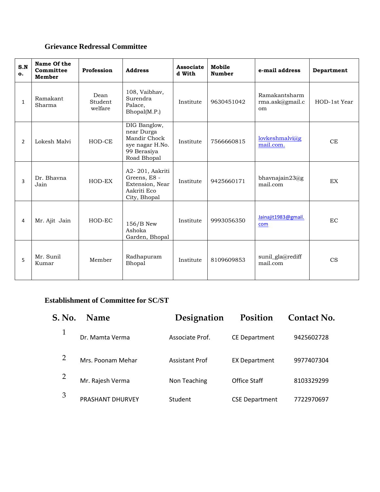## **Grievance Redressal Committee**

| S.N<br>$\mathbf{o}$ . | Name Of the<br>Committee<br>Member | Profession                 | <b>Address</b>                                                                              | Associate<br>d With | Mobile<br><b>Number</b> | e-mail address                         | Department   |
|-----------------------|------------------------------------|----------------------------|---------------------------------------------------------------------------------------------|---------------------|-------------------------|----------------------------------------|--------------|
| $\mathbf{1}$          | Ramakant<br>Sharma                 | Dean<br>Student<br>welfare | 108, Vaibhav,<br>Surendra<br>Palace,<br>Bhopal(M.P.)                                        | Institute           | 9630451042              | Ramakantsharm<br>rma.ask@gmail.c<br>om | HOD-1st Year |
| $\overline{2}$        | Lokesh Malvi                       | HOD-CE                     | DIG Banglow,<br>near Durga<br>Mandir Chock<br>sye nagar H.No.<br>99 Berasiya<br>Road Bhopal | Institute           | 7566660815              | lovkeshmalvi@g<br>mail.com.            | CE           |
| 3                     | Dr. Bhavna<br>Jain                 | HOD-EX                     | A2-201, Aakriti<br>Greens, E8 -<br>Extension, Near<br>Aakriti Eco<br>City, Bhopal           | Institute           | 9425660171              | bhavnajain $23$ @g<br>mail.com         | EX           |
| 4                     | Mr. Ajit Jain                      | HOD-EC                     | 156/B New<br>Ashoka<br>Garden, Bhopal                                                       | Institute           | 9993056350              | Jainajit1983@gmail.<br>com             | EC           |
| 5                     | Mr. Sunil<br>Kumar                 | Member                     | Radhapuram<br>Bhopal                                                                        | Institute           | 8109609853              | sunil_gla@rediff<br>mail.com           | CS           |

## **Establishment of Committee for SC/ST**

| S. No. | <b>Name</b>             | Designation           | Position              | <b>Contact No.</b> |
|--------|-------------------------|-----------------------|-----------------------|--------------------|
|        | Dr. Mamta Verma         | Associate Prof.       | <b>CE Department</b>  | 9425602728         |
|        | Mrs. Poonam Mehar       | <b>Assistant Prof</b> | <b>EX Department</b>  | 9977407304         |
|        | Mr. Rajesh Verma        | Non Teaching          | Office Staff          | 8103329299         |
| 3      | <b>PRASHANT DHURVEY</b> | Student               | <b>CSE Department</b> | 7722970697         |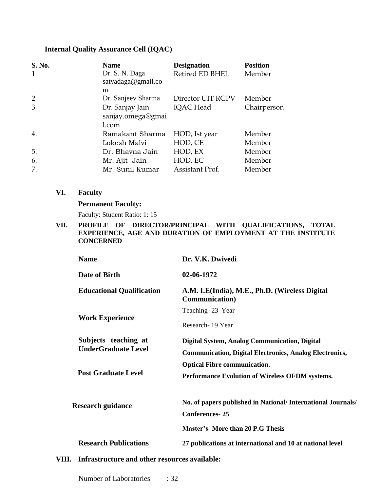#### **Internal Quality Assurance Cell (IQAC)**

| <b>S. No.</b><br>$\mathbf{1}$ | <b>Name</b><br>Dr. S. N. Daga<br>satyadaga@gmail.co | <b>Designation</b><br>Retired ED BHEL | <b>Position</b><br>Member |
|-------------------------------|-----------------------------------------------------|---------------------------------------|---------------------------|
|                               | m                                                   |                                       |                           |
| $\overline{2}$                | Dr. Sanjeev Sharma                                  | Director UIT RGPV                     | Member                    |
| 3                             | Dr. Sanjay Jain<br>sanjay.omega@gmai<br>l.com       | <b>IQAC</b> Head                      | Chairperson               |
| 4.                            | Ramakant Sharma                                     | HOD, Ist year                         | Member                    |
|                               | Lokesh Malvi                                        | HOD, CE                               | Member                    |
| 5.                            | Dr. Bhavna Jain                                     | HOD, EX                               | Member                    |
| 6.                            | Mr. Ajit Jain                                       | HOD, EC                               | Member                    |
| 7.                            | Mr. Sunil Kumar                                     | Assistant Prof.                       | Member                    |

**VI. Faculty**

#### **Permanent Faculty:**

Faculty: Student Ratio: 1: 15

**VII. PROFILE OF DIRECTOR/PRINCIPAL WITH QUALIFICATIONS, TOTAL EXPERIENCE, AGE AND DURATION OF EMPLOYMENT AT THE INSTITUTE CONCERNED**

| <b>Name</b>                                            | Dr. V.K. Dwivedi                                                 |
|--------------------------------------------------------|------------------------------------------------------------------|
| Date of Birth                                          | 02-06-1972                                                       |
| <b>Educational Qualification</b>                       | A.M. I.E(India), M.E., Ph.D. (Wireless Digital<br>Communication) |
|                                                        | Teaching-23 Year                                                 |
| <b>Work Experience</b>                                 | Research - 19 Year                                               |
| Subjects teaching at                                   | <b>Digital System, Analog Communication, Digital</b>             |
| <b>UnderGraduate Level</b>                             | <b>Communication, Digital Electronics, Analog Electronics,</b>   |
|                                                        | <b>Optical Fibre communication.</b>                              |
| <b>Post Graduate Level</b>                             | Performance Evolution of Wireless OFDM systems.                  |
| <b>Research guidance</b>                               | No. of papers published in National/ International Journals/     |
|                                                        | <b>Conferences-25</b>                                            |
|                                                        | <b>Master's- More than 20 P.G Thesis</b>                         |
| <b>Research Publications</b>                           | 27 publications at international and 10 at national level        |
| Infrastructure and other resources available:<br>VIII. |                                                                  |

Number of Laboratories : 32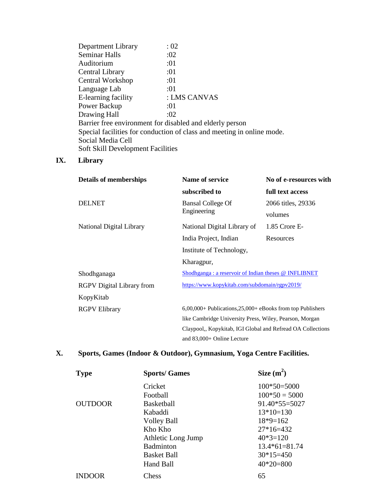| Department Library                                       | :02                                                                    |
|----------------------------------------------------------|------------------------------------------------------------------------|
| <b>Seminar Halls</b>                                     | :02                                                                    |
| Auditorium                                               | :01                                                                    |
| Central Library                                          | :01                                                                    |
| Central Workshop                                         | :01                                                                    |
| Language Lab                                             | :01                                                                    |
| E-learning facility                                      | : LMS CANVAS                                                           |
| Power Backup                                             | :01                                                                    |
| Drawing Hall                                             | :02                                                                    |
| Barrier free environment for disabled and elderly person |                                                                        |
|                                                          | Special facilities for conduction of class and meeting in online mode. |
| Social Media Cell                                        |                                                                        |
| <b>Soft Skill Development Facilities</b>                 |                                                                        |

## **IX. Library**

| <b>Details of memberships</b>    | Name of service                                                | No of e-resources with |
|----------------------------------|----------------------------------------------------------------|------------------------|
|                                  | subscribed to                                                  | full text access       |
| <b>DELNET</b>                    | <b>Bansal College Of</b><br>Engineering                        | 2066 titles, 29336     |
|                                  |                                                                | volumes                |
| National Digital Library         | National Digital Library of                                    | 1.85 Crore E-          |
|                                  | India Project, Indian                                          | Resources              |
|                                  | Institute of Technology,                                       |                        |
|                                  | Kharagpur,                                                     |                        |
| Shodhganaga                      | Shodhganga : a reservoir of Indian theses @ INFLIBNET          |                        |
| <b>RGPV</b> Digital Library from | https://www.kopykitab.com/subdomain/rgpv2019/                  |                        |
| KopyKitab                        |                                                                |                        |
| <b>RGPV Elibrary</b>             | $6,00,000+$ Publications, $25,000+$ eBooks from top Publishers |                        |
|                                  | like Cambridge University Press, Wiley, Pearson, Morgan        |                        |
|                                  | Claypool,, Kopykitab, IGI Global and Refread OA Collections    |                        |
|                                  | and 83,000+ Online Lecture                                     |                        |

## **X. Sports, Games (Indoor & Outdoor), Gymnasium, Yoga Centre Facilities.**

| <b>Type</b>    | <b>Sports/Games</b> | Size $(m^2)$    |
|----------------|---------------------|-----------------|
|                | Cricket             | $100*50=5000$   |
|                | Football            | $100*50 = 5000$ |
| <b>OUTDOOR</b> | <b>Basketball</b>   | $91.40*55=5027$ |
|                | Kabaddi             | $13*10=130$     |
|                | <b>Volley Ball</b>  | $18*9=162$      |
|                | Kho Kho             | $27*16=432$     |
|                | Athletic Long Jump  | $40*3=120$      |
|                | <b>Badminton</b>    | $13.4*61=81.74$ |
|                | <b>Basket Ball</b>  | $30*15=450$     |
|                | <b>Hand Ball</b>    | $40*20=800$     |
| <b>INDOOR</b>  | Chess               | 65              |